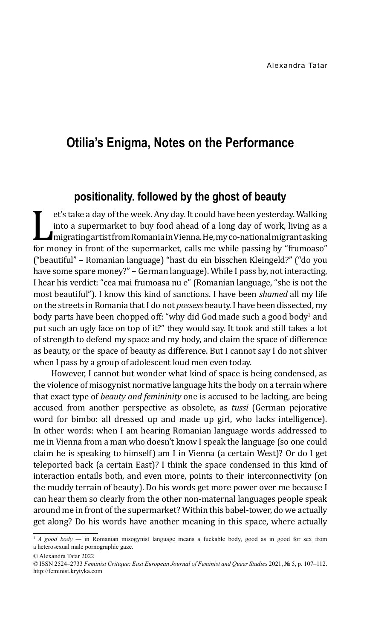# **Otilia's Enigma, Notes on the Performance**

## **positionality. followed by the ghost of beauty**

Into a supermarket to buy food ahead of a long day of work, living as a migrating artist from Romania in Vienna. He, my co-national migrant asking for money in front of the supermarket, calls me while passing by "frumoaso" et's take a day of the week. Any day. It could have been yesterday. Walking into a supermarket to buy food ahead of a long day of work, living as a migrating artist from Romania in Vienna. He, my co-national migrant asking ("beautiful" – Romanian language) "hast du ein bisschen Kleingeld?" ("do you have some spare money?" – German language). While I pass by, not interacting, I hear his verdict: "cea mai frumoasa nu e" (Romanian language, "she is not the most beautiful"). I know this kind of sanctions. I have been *shamed* all my life on the streets in Romania that I do not *possess* beauty. I have been dissected, my body parts have been chopped off: "why did God made such a good body<sup>1</sup> and put such an ugly face on top of it?" they would say. It took and still takes a lot of strength to defend my space and my body, and claim the space of difference as beauty, or the space of beauty as difference. But I cannot say I do not shiver when I pass by a group of adolescent loud men even today.

However, I cannot but wonder what kind of space is being condensed, as the violence of misogynist normative language hits the body on a terrain where that exact type of *beauty and femininity* one is accused to be lacking, are being accused from another perspective as obsolete, as *tussi* (German pejorative word for bimbo: all dressed up and made up girl, who lacks intelligence). In other words: when I am hearing Romanian language words addressed to me in Vienna from a man who doesn't know I speak the language (so one could claim he is speaking to himself) am I in Vienna (a certain West)? Or do I get teleported back (a certain East)? I think the space condensed in this kind of interaction entails both, and even more, points to their interconnectivity (on the muddy terrain of beauty). Do his words get more power over me because I can hear them so clearly from the other non-maternal languages people speak around me in front of the supermarket? Within this babel-tower, do we actually get along? Do his words have another meaning in this space, where actually

<sup>&</sup>lt;sup>1</sup> *A good body* — in Romanian misogynist language means a fuckable body, good as in good for sex from a heterosexual male pornographic gaze.

<sup>©</sup> Alexandra Tatar 2022

<sup>©</sup> ISSN 2524–2733 *Feminist Critique: East European Journal of Feminist and Queer Studies* 2021, № 5, p. 107–112. http://feminist.krytyka.com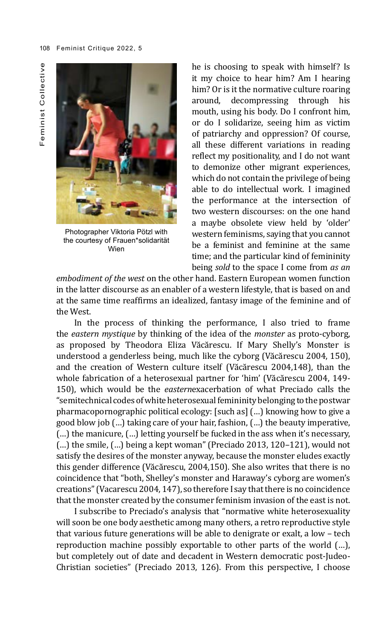

Photographer Viktoria Pötzl with the courtesy of Frauen\*solidarität Wien

he is choosing to speak with himself? Is it my choice to hear him? Am I hearing him? Or is it the normative culture roaring around, decompressing through his mouth, using his body. Do I confront him, or do I solidarize, seeing him as victim of patriarchy and oppression? Of course, all these different variations in reading reflect my positionality, and I do not want to demonize other migrant experiences, which do not contain the privilege of being able to do intellectual work. I imagined the performance at the intersection of two western discourses: on the one hand a maybe obsolete view held by 'older' western feminisms, saying that you cannot be a feminist and feminine at the same time; and the particular kind of femininity being *sold* to the space I come from *as an* 

*embodiment of the west* on the other hand. Eastern European women function in the latter discourse as an enabler of a western lifestyle, that is based on and at the same time reaffirms an idealized, fantasy image of the feminine and of the West.

In the process of thinking the performance, I also tried to frame the *eastern mystique* by thinking of the idea of the *monster* as proto-cyborg, as proposed by Theodora Eliza Văcărescu. If Mary Shelly's Monster is understood a genderless being, much like the cyborg (Văcărescu 2004, 150), and the creation of Western culture itself (Văcărescu 2004,148), than the whole fabrication of a heterosexual partner for 'him' (Văcărescu 2004, 149- 150), which would be the *eastern*exacerbation of what Preciado calls the "semitechnical codes of white heterosexual femininity belonging to the postwar pharmacopornographic political ecology: [such as] (…) knowing how to give a good blow job (…) taking care of your hair, fashion, (…) the beauty imperative, (…) the manicure, (…) letting yourself be fucked in the ass when it's necessary, (…) the smile, (…) being a kept woman" (Preciado 2013, 120–121), would not satisfy the desires of the monster anyway, because the monster eludes exactly this gender difference (Văcărescu, 2004,150). She also writes that there is no coincidence that "both, Shelley's monster and Haraway's cyborg are women's creations" (Vacarescu 2004, 147), so therefore I say that there is no coincidence that the monster created by the consumer feminism invasion of the east is not.

I subscribe to Preciado's analysis that "normative white heterosexuality will soon be one body aesthetic among many others, a retro reproductive style that various future generations will be able to denigrate or exalt, a low – tech reproduction machine possibly exportable to other parts of the world (…), but completely out of date and decadent in Western democratic post-Judeo-Christian societies" (Preciado 2013, 126). From this perspective, I choose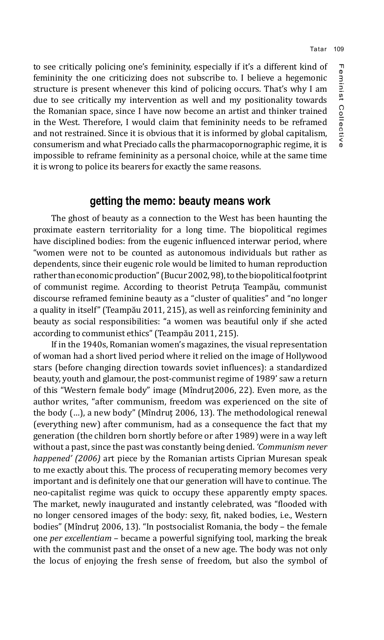to see critically policing one's femininity, especially if it's a different kind of femininity the one criticizing does not subscribe to. I believe a hegemonic structure is present whenever this kind of policing occurs. That's why I am due to see critically my intervention as well and my positionality towards the Romanian space, since I have now become an artist and thinker trained in the West. Therefore, I would claim that femininity needs to be reframed and not restrained. Since it is obvious that it is informed by global capitalism, consumerism and what Preciado calls the pharmacopornographic regime, it is impossible to reframe femininity as a personal choice, while at the same time it is wrong to police its bearers for exactly the same reasons.

### **getting the memo: beauty means work**

The ghost of beauty as a connection to the West has been haunting the proximate eastern territoriality for a long time. The biopolitical regimes have disciplined bodies: from the eugenic influenced interwar period, where "women were not to be counted as autonomous individuals but rather as dependents, since their eugenic role would be limited to human reproduction rather than economic production" (Bucur 2002, 98), to the biopolitical footprint of communist regime. According to theorist Petruța Teampău, communist discourse reframed feminine beauty as a "cluster of qualities" and "no longer a quality in itself" (Teampău 2011, 215), as well as reinforcing femininity and beauty as social responsibilities: "a women was beautiful only if she acted according to communist ethics" (Teampău 2011, 215).

If in the 1940s, Romanian women's magazines, the visual representation of woman had a short lived period where it relied on the image of Hollywood stars (before changing direction towards soviet influences): a standardized beauty, youth and glamour, the post-communist regime of 1989' saw a return of this "Western female body" image (Mîndruţ2006, 22). Even more, as the author writes, "after communism, freedom was experienced on the site of the body (…), a new body" (Mîndruţ 2006, 13). The methodological renewal (everything new) after communism, had as a consequence the fact that my generation (the children born shortly before or after 1989) were in a way left without a past, since the past was constantly being denied. *'Communism never happened' (2006)* art piece by the Romanian artists Ciprian Muresan speak to me exactly about this. The process of recuperating memory becomes very important and is definitely one that our generation will have to continue. The neo-capitalist regime was quick to occupy these apparently empty spaces. The market, newly inaugurated and instantly celebrated, was "flooded with no longer censored images of the body: sexy, fit, naked bodies, i.e., Western bodies" (Mîndruţ 2006, 13). "In postsocialist Romania, the body – the female one *per excellentiam* – became a powerful signifying tool, marking the break with the communist past and the onset of a new age. The body was not only the locus of enjoying the fresh sense of freedom, but also the symbol of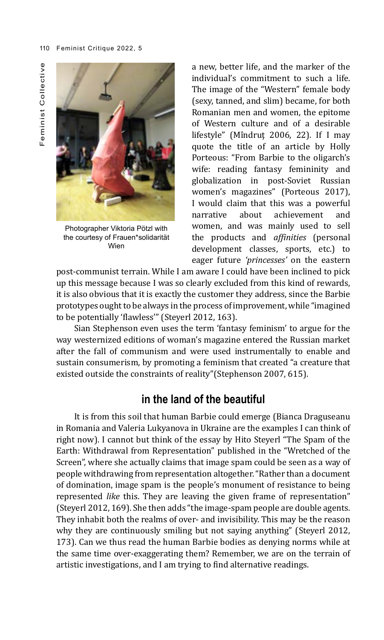Photographer Viktoria Pötzl with the courtesy of Frauen\*solidarität Wien

a new, better life, and the marker of the individual's commitment to such a life. The image of the "Western" female body (sexy, tanned, and slim) became, for both Romanian men and women, the epitome of Western culture and of a desirable lifestyle" (Mîndruţ 2006, 22). If I may quote the title of an article by Holly Porteous: "From Barbie to the oligarch's wife: reading fantasy femininity and globalization in post-Soviet Russian women's magazines" (Porteous 2017), I would claim that this was a powerful<br>narrative about achievement and achievement women, and was mainly used to sell the products and *affinities* (personal development classes, sports, etc.) to eager future *'princesses'* on the eastern

post-communist terrain. While I am aware I could have been inclined to pick up this message because I was so clearly excluded from this kind of rewards, it is also obvious that it is exactly the customer they address, since the Barbie prototypes ought to be always in the process of improvement, while "imagined to be potentially 'flawless'" (Steyerl 2012, 163).

Sian Stephenson even uses the term 'fantasy feminism' to argue for the way westernized editions of woman's magazine entered the Russian market after the fall of communism and were used instrumentally to enable and sustain consumerism, by promoting a feminism that created "a creature that existed outside the constraints of reality"(Stephenson 2007, 615).

# **in the land of the beautiful**

It is from this soil that human Barbie could emerge (Bianca Draguseanu in Romania and Valeria Lukyanova in Ukraine are the examples I can think of right now). I cannot but think of the essay by Hito Steyerl "The Spam of the Earth: Withdrawal from Representation" published in the "Wretched of the Screen", where she actually claims that image spam could be seen as a way of people withdrawing from representation altogether. "Rather than a document of domination, image spam is the people's monument of resistance to being represented *like* this. They are leaving the given frame of representation" (Steyerl 2012, 169). She then adds "the image-spam people are double agents. They inhabit both the realms of over- and invisibility. This may be the reason why they are continuously smiling but not saying anything" (Steyerl 2012, 173). Can we thus read the human Barbie bodies as denying norms while at the same time over-exaggerating them? Remember, we are on the terrain of artistic investigations, and I am trying to find alternative readings.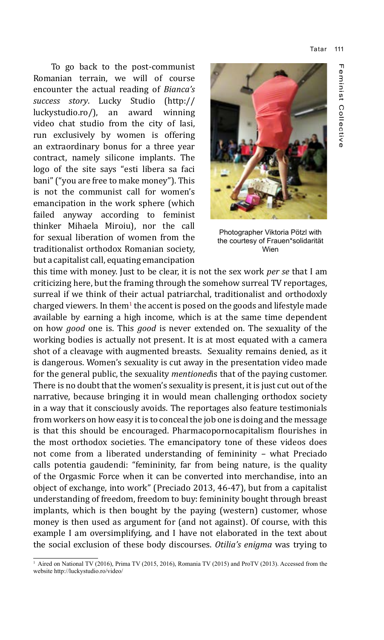Tatar 111

To go back to the post-communist Romanian terrain, we will of course encounter the actual reading of *Bianca's success story*. Lucky Studio (http:// luckystudio.ro/), video chat studio from the city of Iasi, run exclusively by women is offering an extraordinary bonus for a three year contract, namely silicone implants. The logo of the site says "esti libera sa faci bani" ("you are free to make money"). This is not the communist call for women's emancipation in the work sphere (which failed anyway according to feminist thinker Mihaela Miroiu), nor the call for sexual liberation of women from the traditionalist orthodox Romanian society, but a capitalist call, equating emancipation



Photographer Viktoria Pötzl with the courtesy of Frauen\*solidarität Wien

this time with money. Just to be clear, it is not the sex work *per se* that I am criticizing here, but the framing through the somehow surreal TV reportages, surreal if we think of their actual patriarchal, traditionalist and orthodoxly charged viewers. In them $^{\scriptscriptstyle 1}$  the accent is posed on the goods and lifestyle made available by earning a high income, which is at the same time dependent on how *good* one is. This *good* is never extended on. The sexuality of the working bodies is actually not present. It is at most equated with a camera shot of a cleavage with augmented breasts. Sexuality remains denied, as it is dangerous. Women's sexuality is cut away in the presentation video made for the general public, the sexuality *mentioned*is that of the paying customer. There is no doubt that the women's sexuality is present, it is just cut out of the narrative, because bringing it in would mean challenging orthodox society in a way that it consciously avoids. The reportages also feature testimonials from workers on how easy it is to conceal the job one is doing and the message is that this should be encouraged. Pharmacopornocapitalism flourishes in the most orthodox societies. The emancipatory tone of these videos does not come from a liberated understanding of femininity – what Preciado calls potentia gaudendi: "femininity, far from being nature, is the quality of the Orgasmic Force when it can be converted into merchandise, into an object of exchange, into work" (Preciado 2013, 46-47), but from a capitalist understanding of freedom, freedom to buy: femininity bought through breast implants, which is then bought by the paying (western) customer, whose money is then used as argument for (and not against). Of course, with this example I am oversimplifying, and I have not elaborated in the text about the social exclusion of these body discourses. *Otilia's enigma* was trying to

<sup>1</sup> Aired on National TV (2016), Prima TV (2015, 2016), Romania TV (2015) and ProTV (2013). Accessed from the website <http://luckystudio.ro/video/>